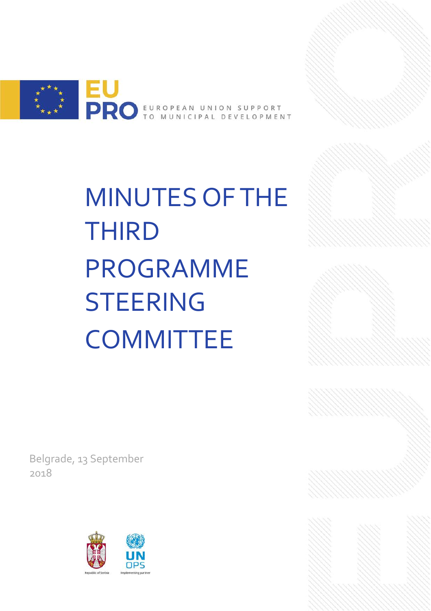

MINUTES OF THE THIRD PROGRAMME STEERING **COMMITTEE** 

Belgrade, 13 September 2018

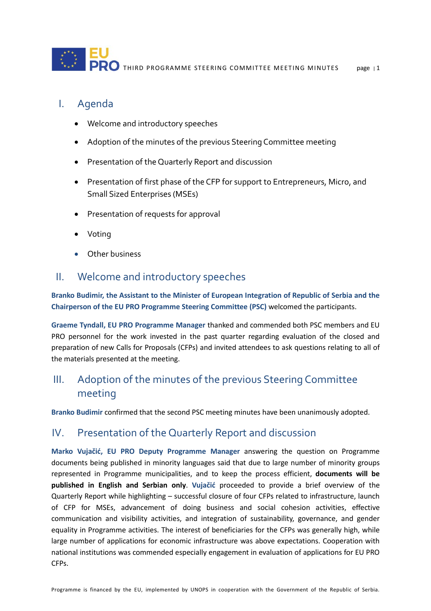

#### I. Agenda

- Welcome and introductory speeches
- Adoption of the minutes of the previous Steering Committee meeting
- Presentation of the Quarterly Report and discussion
- Presentation of first phase of the CFP for support to Entrepreneurs, Micro, and Small Sized Enterprises (MSEs)
- Presentation of requests for approval
- **Voting**
- Other business

#### II. Welcome and introductory speeches

**Branko Budimir, the Assistant to the Minister of European Integration of Republic of Serbia and the Chairperson of the EU PRO Programme Steering Committee (PSC)** welcomed the participants.

**Graeme Tyndall, EU PRO Programme Manager** thanked and commended both PSC members and EU PRO personnel for the work invested in the past quarter regarding evaluation of the closed and preparation of new Calls for Proposals (CFPs) and invited attendees to ask questions relating to all of the materials presented at the meeting.

## III. Adoption of the minutes of the previous Steering Committee meeting

**Branko Budimir** confirmed that the second PSC meeting minutes have been unanimously adopted.

#### IV. Presentation of the Quarterly Report and discussion

**Marko Vujačić, EU PRO Deputy Programme Manager** answering the question on Programme documents being published in minority languages said that due to large number of minority groups represented in Programme municipalities, and to keep the process efficient, **documents will be published in English and Serbian only**. **Vujačić** proceeded to provide a brief overview of the Quarterly Report while highlighting – successful closure of four CFPs related to infrastructure, launch of CFP for MSEs, advancement of doing business and social cohesion activities, effective communication and visibility activities, and integration of sustainability, governance, and gender equality in Programme activities. The interest of beneficiaries for the CFPs was generally high, while large number of applications for economic infrastructure was above expectations. Cooperation with national institutions was commended especially engagement in evaluation of applications for EU PRO CFPs.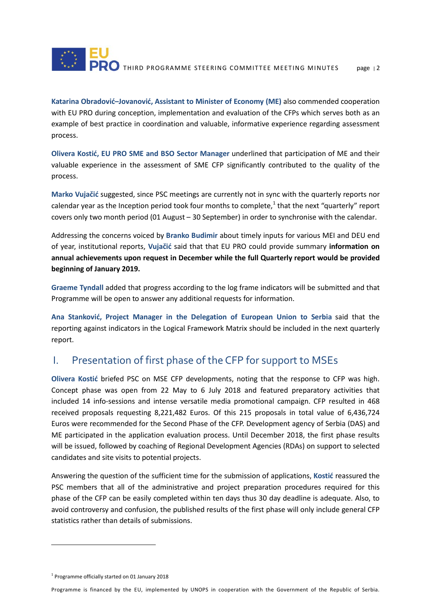

**Katarina Obradović–Jovanović, Assistant to Minister of Economy (ME)** also commended cooperation with EU PRO during conception, implementation and evaluation of the CFPs which serves both as an example of best practice in coordination and valuable, informative experience regarding assessment process.

**Olivera Kostić, EU PRO SME and BSO Sector Manager** underlined that participation of ME and their valuable experience in the assessment of SME CFP significantly contributed to the quality of the process.

**Marko Vujačić** suggested, since PSC meetings are currently not in sync with the quarterly reports nor calendar year as the Inception period took four months to complete,<sup>[1](#page-2-0)</sup> that the next "quarterly" report covers only two month period (01 August – 30 September) in order to synchronise with the calendar.

Addressing the concerns voiced by **Branko Budimir** about timely inputs for various MEI and DEU end of year, institutional reports, **Vujačić** said that that EU PRO could provide summary **information on annual achievements upon request in December while the full Quarterly report would be provided beginning of January 2019.**

**Graeme Tyndall** added that progress according to the log frame indicators will be submitted and that Programme will be open to answer any additional requests for information.

**Ana Stanković, Project Manager in the Delegation of European Union to Serbia** said that the reporting against indicators in the Logical Framework Matrix should be included in the next quarterly report.

### I. Presentation of first phase of the CFP for support to MSEs

**Olivera Kostić** briefed PSC on MSE CFP developments, noting that the response to CFP was high. Concept phase was open from 22 May to 6 July 2018 and featured preparatory activities that included 14 info-sessions and intense versatile media promotional campaign. CFP resulted in 468 received proposals requesting 8,221,482 Euros. Of this 215 proposals in total value of 6,436,724 Euros were recommended for the Second Phase of the CFP. Development agency of Serbia (DAS) and ME participated in the application evaluation process. Until December 2018, the first phase results will be issued, followed by coaching of Regional Development Agencies (RDAs) on support to selected candidates and site visits to potential projects.

Answering the question of the sufficient time for the submission of applications, **Kostić** reassured the PSC members that all of the administrative and project preparation procedures required for this phase of the CFP can be easily completed within ten days thus 30 day deadline is adequate. Also, to avoid controversy and confusion, the published results of the first phase will only include general CFP statistics rather than details of submissions.

 $\overline{a}$ 

<span id="page-2-0"></span> $1$  Programme officially started on 01 January 2018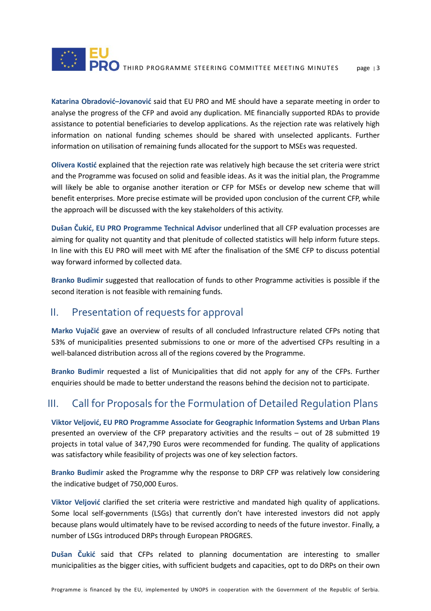

**Katarina Obradović–Jovanović** said that EU PRO and ME should have a separate meeting in order to analyse the progress of the CFP and avoid any duplication. ME financially supported RDAs to provide assistance to potential beneficiaries to develop applications. As the rejection rate was relatively high information on national funding schemes should be shared with unselected applicants. Further information on utilisation of remaining funds allocated for the support to MSEs was requested.

**Olivera Kostić** explained that the rejection rate was relatively high because the set criteria were strict and the Programme was focused on solid and feasible ideas. As it was the initial plan, the Programme will likely be able to organise another iteration or CFP for MSEs or develop new scheme that will benefit enterprises. More precise estimate will be provided upon conclusion of the current CFP, while the approach will be discussed with the key stakeholders of this activity.

**Dušan Čukić, EU PRO Programme Technical Advisor** underlined that all CFP evaluation processes are aiming for quality not quantity and that plenitude of collected statistics will help inform future steps. In line with this EU PRO will meet with ME after the finalisation of the SME CFP to discuss potential way forward informed by collected data.

**Branko Budimir** suggested that reallocation of funds to other Programme activities is possible if the second iteration is not feasible with remaining funds.

### II. Presentation of requests for approval

**Marko Vujačić** gave an overview of results of all concluded Infrastructure related CFPs noting that 53% of municipalities presented submissions to one or more of the advertised CFPs resulting in a well-balanced distribution across all of the regions covered by the Programme.

**Branko Budimir** requested a list of Municipalities that did not apply for any of the CFPs. Further enquiries should be made to better understand the reasons behind the decision not to participate.

## III. Call for Proposals for the Formulation of Detailed Regulation Plans

**Viktor Veljović, EU PRO Programme Associate for Geographic Information Systems and Urban Plans**  presented an overview of the CFP preparatory activities and the results – out of 28 submitted 19 projects in total value of 347,790 Euros were recommended for funding. The quality of applications was satisfactory while feasibility of projects was one of key selection factors.

**Branko Budimir** asked the Programme why the response to DRP CFP was relatively low considering the indicative budget of 750,000 Euros.

**Viktor Veljović** clarified the set criteria were restrictive and mandated high quality of applications. Some local self-governments (LSGs) that currently don't have interested investors did not apply because plans would ultimately have to be revised according to needs of the future investor. Finally, a number of LSGs introduced DRPs through European PROGRES.

**Dušan Čukić** said that CFPs related to planning documentation are interesting to smaller municipalities as the bigger cities, with sufficient budgets and capacities, opt to do DRPs on their own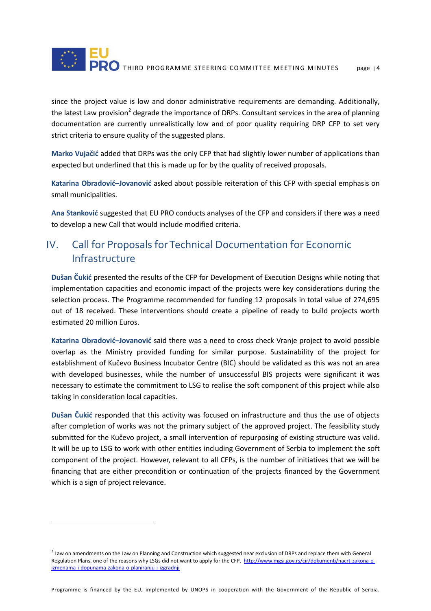

since the project value is low and donor administrative requirements are demanding. Additionally, the latest Law provision<sup>[2](#page-4-0)</sup> degrade the importance of DRPs. Consultant services in the area of planning documentation are currently unrealistically low and of poor quality requiring DRP CFP to set very strict criteria to ensure quality of the suggested plans.

**Marko Vujačić** added that DRPs was the only CFP that had slightly lower number of applications than expected but underlined that this is made up for by the quality of received proposals.

**Katarina Obradović–Jovanović** asked about possible reiteration of this CFP with special emphasis on small municipalities.

**Ana Stanković** suggested that EU PRO conducts analyses of the CFP and considers if there was a need to develop a new Call that would include modified criteria.

## IV. Call for Proposals for Technical Documentation for Economic Infrastructure

**Dušan Čukić** presented the results of the CFP for Development of Execution Designs while noting that implementation capacities and economic impact of the projects were key considerations during the selection process. The Programme recommended for funding 12 proposals in total value of 274,695 out of 18 received. These interventions should create a pipeline of ready to build projects worth estimated 20 million Euros.

**Katarina Obradović–Jovanović** said there was a need to cross check Vranje project to avoid possible overlap as the Ministry provided funding for similar purpose. Sustainability of the project for establishment of Kučevo Business Incubator Centre (BIC) should be validated as this was not an area with developed businesses, while the number of unsuccessful BIS projects were significant it was necessary to estimate the commitment to LSG to realise the soft component of this project while also taking in consideration local capacities.

**Dušan Čukić** responded that this activity was focused on infrastructure and thus the use of objects after completion of works was not the primary subject of the approved project. The feasibility study submitted for the Kučevo project, a small intervention of repurposing of existing structure was valid. It will be up to LSG to work with other entities including Government of Serbia to implement the soft component of the project. However, relevant to all CFPs, is the number of initiatives that we will be financing that are either precondition or continuation of the projects financed by the Government which is a sign of project relevance.

 $\overline{a}$ 

Programme is financed by the EU, implemented by UNOPS in cooperation with the Government of the Republic of Serbia.

<span id="page-4-0"></span><sup>&</sup>lt;sup>2</sup> Law on amendments on the Law on Planning and Construction which suggested near exclusion of DRPs and replace them with General Regulation Plans, one of the reasons why LSGs did not want to apply for the CFP. [http://www.mgsi.gov.rs/cir/dokumenti/nacrt-zakona-o](http://www.mgsi.gov.rs/cir/dokumenti/nacrt-zakona-o-izmenama-i-dopunama-zakona-o-planiranju-i-izgradnji)[izmenama-i-dopunama-zakona-o-planiranju-i-izgradnji](http://www.mgsi.gov.rs/cir/dokumenti/nacrt-zakona-o-izmenama-i-dopunama-zakona-o-planiranju-i-izgradnji)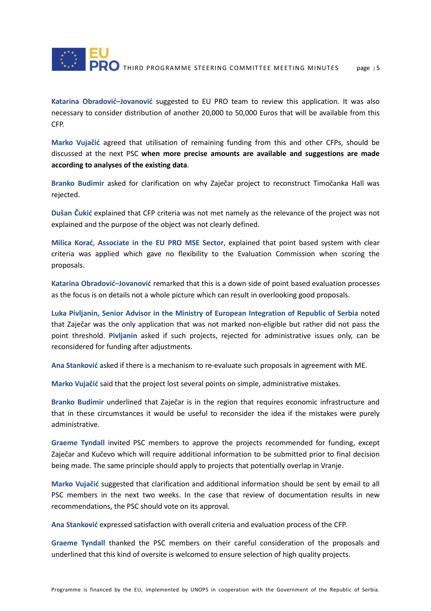

**Katarina Obradović–Jovanović** suggested to EU PRO team to review this application. It was also necessary to consider distribution of another 20,000 to 50,000 Euros that will be available from this CFP.

**Marko Vujačić** agreed that utilisation of remaining funding from this and other CFPs, should be discussed at the next PSC **when more precise amounts are available and suggestions are made according to analyses of the existing data**.

**Branko Budimir** asked for clarification on why Zaječar project to reconstruct Timočanka Hall was rejected.

**Dušan Čukić** explained that CFP criteria was not met namely as the relevance of the project was not explained and the purpose of the object was not clearly defined.

**Milica Korać**, **Associate in the EU PRO MSE Sector**, explained that point based system with clear criteria was applied which gave no flexibility to the Evaluation Commission when scoring the proposals.

**Katarina Obradović–Jovanović** remarked that this is a down side of point based evaluation processes as the focus is on details not a whole picture which can result in overlooking good proposals.

**Luka Pivljanin, Senior Advisor in the Ministry of European Integration of Republic of Serbia** noted that Zaječar was the only application that was not marked non-eligible but rather did not pass the point threshold. **Pivljanin** asked if such projects, rejected for administrative issues only, can be reconsidered for funding after adjustments.

**Ana Stanković** asked if there is a mechanism to re-evaluate such proposals in agreement with ME.

**Marko Vujačić** said that the project lost several points on simple, administrative mistakes.

**Branko Budimir** underlined that Zaječar is in the region that requires economic infrastructure and that in these circumstances it would be useful to reconsider the idea if the mistakes were purely administrative.

**Graeme Tyndall** invited PSC members to approve the projects recommended for funding, except Zaječar and Kučevo which will require additional information to be submitted prior to final decision being made. The same principle should apply to projects that potentially overlap in Vranje.

**Marko Vujačić** suggested that clarification and additional information should be sent by email to all PSC members in the next two weeks. In the case that review of documentation results in new recommendations, the PSC should vote on its approval.

**Ana Stanković** expressed satisfaction with overall criteria and evaluation process of the CFP.

**Graeme Tyndall** thanked the PSC members on their careful consideration of the proposals and underlined that this kind of oversite is welcomed to ensure selection of high quality projects.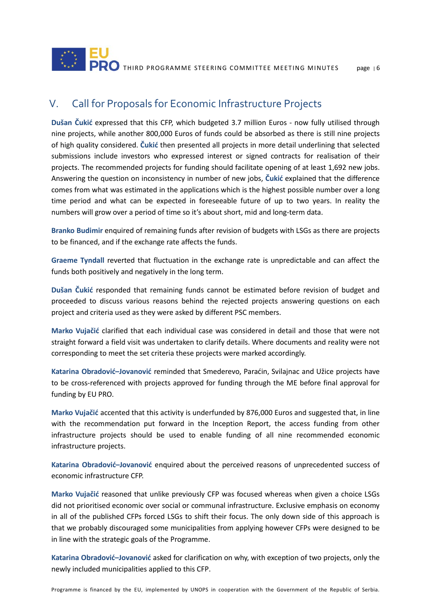

## V. Call for Proposals for Economic Infrastructure Projects

**Dušan Čukić** expressed that this CFP, which budgeted 3.7 million Euros - now fully utilised through nine projects, while another 800,000 Euros of funds could be absorbed as there is still nine projects of high quality considered. **Čukić** then presented all projects in more detail underlining that selected submissions include investors who expressed interest or signed contracts for realisation of their projects. The recommended projects for funding should facilitate opening of at least 1,692 new jobs. Answering the question on inconsistency in number of new jobs, **Čukić** explained that the difference comes from what was estimated in the applications which is the highest possible number over a long time period and what can be expected in foreseeable future of up to two years. In reality the numbers will grow over a period of time so it's about short, mid and long-term data.

**Branko Budimir** enquired of remaining funds after revision of budgets with LSGs as there are projects to be financed, and if the exchange rate affects the funds.

**Graeme Tyndall** reverted that fluctuation in the exchange rate is unpredictable and can affect the funds both positively and negatively in the long term.

**Dušan Čukić** responded that remaining funds cannot be estimated before revision of budget and proceeded to discuss various reasons behind the rejected projects answering questions on each project and criteria used as they were asked by different PSC members.

**Marko Vujačić** clarified that each individual case was considered in detail and those that were not straight forward a field visit was undertaken to clarify details. Where documents and reality were not corresponding to meet the set criteria these projects were marked accordingly.

**Katarina Obradović–Jovanović** reminded that Smederevo, Paraćin, Svilajnac and Užice projects have to be cross-referenced with projects approved for funding through the ME before final approval for funding by EU PRO.

**Marko Vujačić** accented that this activity is underfunded by 876,000 Euros and suggested that, in line with the recommendation put forward in the Inception Report, the access funding from other infrastructure projects should be used to enable funding of all nine recommended economic infrastructure projects.

**Katarina Obradović–Jovanović** enquired about the perceived reasons of unprecedented success of economic infrastructure CFP.

**Marko Vujačić** reasoned that unlike previously CFP was focused whereas when given a choice LSGs did not prioritised economic over social or communal infrastructure. Exclusive emphasis on economy in all of the published CFPs forced LSGs to shift their focus. The only down side of this approach is that we probably discouraged some municipalities from applying however CFPs were designed to be in line with the strategic goals of the Programme.

**Katarina Obradović–Jovanović** asked for clarification on why, with exception of two projects, only the newly included municipalities applied to this CFP.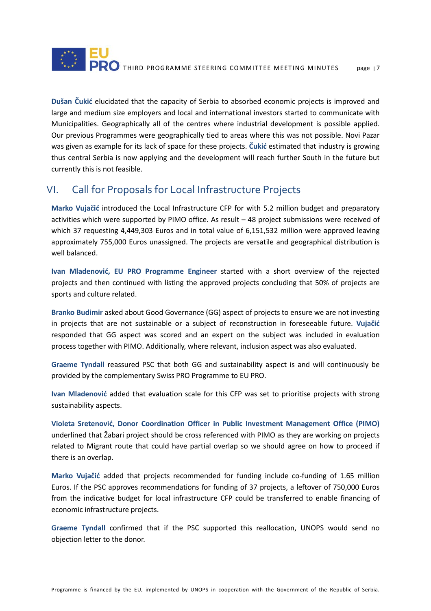

**Dušan Čukić** elucidated that the capacity of Serbia to absorbed economic projects is improved and large and medium size employers and local and international investors started to communicate with Municipalities. Geographically all of the centres where industrial development is possible applied. Our previous Programmes were geographically tied to areas where this was not possible. Novi Pazar was given as example for its lack of space for these projects. **Čukić** estimated that industry is growing thus central Serbia is now applying and the development will reach further South in the future but currently this is not feasible.

### VI. Call for Proposals for Local Infrastructure Projects

**Marko Vujačić** introduced the Local Infrastructure CFP for with 5.2 million budget and preparatory activities which were supported by PIMO office. As result – 48 project submissions were received of which 37 requesting 4,449,303 Euros and in total value of 6,151,532 million were approved leaving approximately 755,000 Euros unassigned. The projects are versatile and geographical distribution is well balanced.

**Ivan Mladenović, EU PRO Programme Engineer** started with a short overview of the rejected projects and then continued with listing the approved projects concluding that 50% of projects are sports and culture related.

**Branko Budimir** asked about Good Governance (GG) aspect of projects to ensure we are not investing in projects that are not sustainable or a subject of reconstruction in foreseeable future. **Vujačić** responded that GG aspect was scored and an expert on the subject was included in evaluation process together with PIMO. Additionally, where relevant, inclusion aspect was also evaluated.

**Graeme Tyndall** reassured PSC that both GG and sustainability aspect is and will continuously be provided by the complementary Swiss PRO Programme to EU PRO.

**Ivan Mladenović** added that evaluation scale for this CFP was set to prioritise projects with strong sustainability aspects.

**Violeta Sretenović, Donor Coordination Officer in Public Investment Management Office (PIMO)**  underlined that Žabari project should be cross referenced with PIMO as they are working on projects related to Migrant route that could have partial overlap so we should agree on how to proceed if there is an overlap.

**Marko Vujačić** added that projects recommended for funding include co-funding of 1.65 million Euros. If the PSC approves recommendations for funding of 37 projects, a leftover of 750,000 Euros from the indicative budget for local infrastructure CFP could be transferred to enable financing of economic infrastructure projects.

**Graeme Tyndall** confirmed that if the PSC supported this reallocation, UNOPS would send no objection letter to the donor.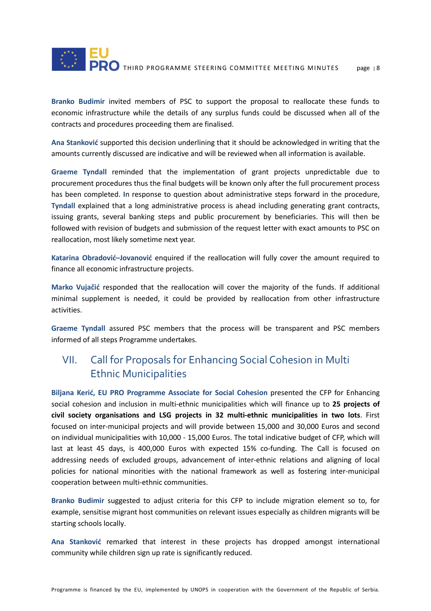

**Branko Budimir** invited members of PSC to support the proposal to reallocate these funds to economic infrastructure while the details of any surplus funds could be discussed when all of the contracts and procedures proceeding them are finalised.

**Ana Stanković** supported this decision underlining that it should be acknowledged in writing that the amounts currently discussed are indicative and will be reviewed when all information is available.

**Graeme Tyndall** reminded that the implementation of grant projects unpredictable due to procurement procedures thus the final budgets will be known only after the full procurement process has been completed. **I**n response to question about administrative steps forward in the procedure, **Tyndall** explained that a long administrative process is ahead including generating grant contracts, issuing grants, several banking steps and public procurement by beneficiaries. This will then be followed with revision of budgets and submission of the request letter with exact amounts to PSC on reallocation, most likely sometime next year.

**Katarina Obradović–Jovanović** enquired if the reallocation will fully cover the amount required to finance all economic infrastructure projects.

**Marko Vujačić** responded that the reallocation will cover the majority of the funds. If additional minimal supplement is needed, it could be provided by reallocation from other infrastructure activities.

**Graeme Tyndall** assured PSC members that the process will be transparent and PSC members informed of all steps Programme undertakes.

## VII. Call for Proposals for Enhancing Social Cohesion in Multi Ethnic Municipalities

**Biljana Kerić, EU PRO Programme Associate for Social Cohesion** presented the CFP for Enhancing social cohesion and inclusion in multi-ethnic municipalities which will finance up to **25 projects of civil society organisations and LSG projects in 32 multi-ethnic municipalities in two lots**. First focused on inter-municipal projects and will provide between 15,000 and 30,000 Euros and second on individual municipalities with 10,000 - 15,000 Euros. The total indicative budget of CFP, which will last at least 45 days, is 400,000 Euros with expected 15% co-funding. The Call is focused on addressing needs of excluded groups, advancement of inter-ethnic relations and aligning of local policies for national minorities with the national framework as well as fostering inter-municipal cooperation between multi-ethnic communities.

**Branko Budimir** suggested to adjust criteria for this CFP to include migration element so to, for example, sensitise migrant host communities on relevant issues especially as children migrants will be starting schools locally.

**Ana Stanković** remarked that interest in these projects has dropped amongst international community while children sign up rate is significantly reduced.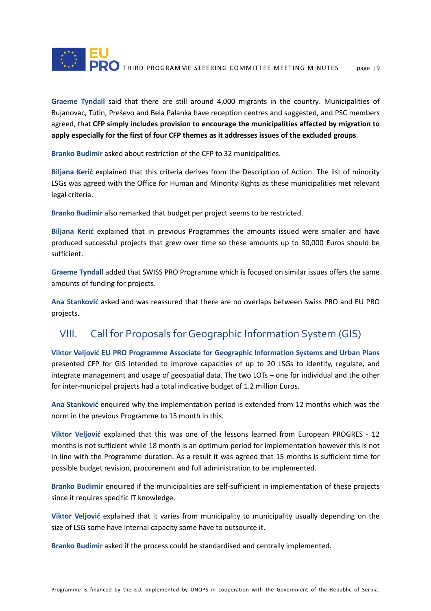

**Graeme Tyndall** said that there are still around 4,000 migrants in the country. Municipalities of Bujanovac, Tutin, Preševo and Bela Palanka have reception centres and suggested, and PSC members agreed, that **CFP simply includes provision to encourage the municipalities affected by migration to apply especially for the first of four CFP themes as it addresses issues of the excluded groups**.

**Branko Budimir** asked about restriction of the CFP to 32 municipalities.

**Biljana Kerić** explained that this criteria derives from the Description of Action. The list of minority LSGs was agreed with the Office for Human and Minority Rights as these municipalities met relevant legal criteria.

**Branko Budimir** also remarked that budget per project seems to be restricted.

**Biljana Kerić** explained that in previous Programmes the amounts issued were smaller and have produced successful projects that grew over time so these amounts up to 30,000 Euros should be sufficient.

**Graeme Tyndall** added that SWISS PRO Programme which is focused on similar issues offers the same amounts of funding for projects.

**Ana Stanković** asked and was reassured that there are no overlaps between Swiss PRO and EU PRO projects.

# VIII. Call for Proposals for Geographic Information System (GIS)

**Viktor Veljović EU PRO Programme Associate for Geographic Information Systems and Urban Plans** presented CFP for GIS intended to improve capacities of up to 20 LSGs to identify, regulate, and integrate management and usage of geospatial data. The two LOTs – one for individual and the other for inter-municipal projects had a total indicative budget of 1.2 million Euros.

**Ana Stanković** enquired why the implementation period is extended from 12 months which was the norm in the previous Programme to 15 month in this.

**Viktor Veljović** explained that this was one of the lessons learned from European PROGRES - 12 months is not sufficient while 18 month is an optimum period for implementation however this is not in line with the Programme duration. As a result it was agreed that 15 months is sufficient time for possible budget revision, procurement and full administration to be implemented.

**Branko Budimir** enquired if the municipalities are self-sufficient in implementation of these projects since it requires specific IT knowledge.

**Viktor Veljović** explained that it varies from municipality to municipality usually depending on the size of LSG some have internal capacity some have to outsource it.

**Branko Budimir** asked if the process could be standardised and centrally implemented.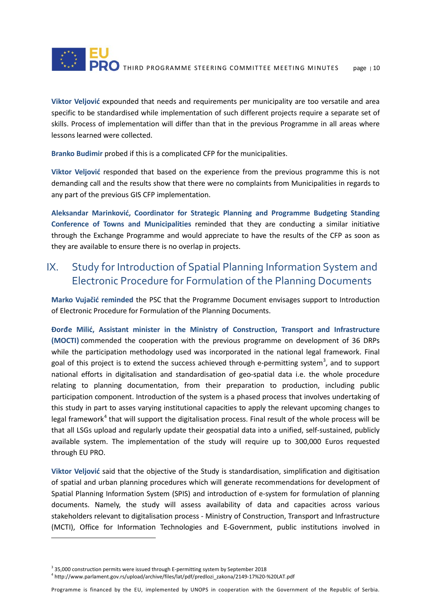

**Viktor Veljović** expounded that needs and requirements per municipality are too versatile and area specific to be standardised while implementation of such different projects require a separate set of skills. Process of implementation will differ than that in the previous Programme in all areas where lessons learned were collected.

**Branko Budimir** probed if this is a complicated CFP for the municipalities.

**Viktor Veljović** responded that based on the experience from the previous programme this is not demanding call and the results show that there were no complaints from Municipalities in regards to any part of the previous GIS CFP implementation.

**Aleksandar Marinković, Coordinator for Strategic Planning and Programme Budgeting Standing Conference of Towns and Municipalities** reminded that they are conducting a similar initiative through the Exchange Programme and would appreciate to have the results of the CFP as soon as they are available to ensure there is no overlap in projects.

### IX. Study for Introduction of Spatial Planning Information System and Electronic Procedure for Formulation of the Planning Documents

**Marko Vujačić reminded** the PSC that the Programme Document envisages support to Introduction of Electronic Procedure for Formulation of the Planning Documents.

**Đorđe Milić, Assistant minister in the Ministry of Construction, Transport and Infrastructure (MOCTI)** commended the cooperation with the previous programme on development of 36 DRPs while the participation methodology used was incorporated in the national legal framework. Final goal of this project is to extend the success achieved through e-permitting system<sup>[3](#page-10-0)</sup>, and to support national efforts in digitalisation and standardisation of geo-spatial data i.e. the whole procedure relating to planning documentation, from their preparation to production, including public participation component. Introduction of the system is a phased process that involves undertaking of this study in part to asses varying institutional capacities to apply the relevant upcoming changes to legal framework<sup>[4](#page-10-1)</sup> that will support the digitalisation process. Final result of the whole process will be that all LSGs upload and regularly update their geospatial data into a unified, self-sustained, publicly available system. The implementation of the study will require up to 300,000 Euros requested through EU PRO.

**Viktor Veljović** said that the objective of the Study is standardisation, simplification and digitisation of spatial and urban planning procedures which will generate recommendations for development of Spatial Planning Information System (SPIS) and introduction of e-system for formulation of planning documents. Namely, the study will assess availability of data and capacities across various stakeholders relevant to digitalisation process - Ministry of Construction, Transport and Infrastructure (MCTI), Office for Information Technologies and E-Government, public institutions involved in

 $\overline{a}$ 

<span id="page-10-0"></span><sup>&</sup>lt;sup>3</sup> 35,000 construction permits were issued through E-permitting system by September 2018

<span id="page-10-1"></span><sup>4</sup> http://www.parlament.gov.rs/upload/archive/files/lat/pdf/predlozi\_zakona/2149-17%20-%20LAT.pdf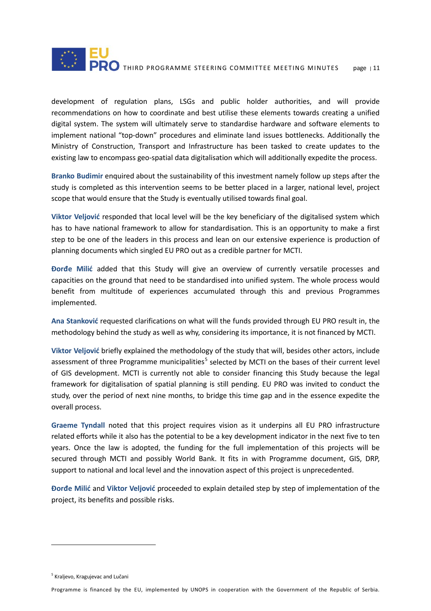

development of regulation plans, LSGs and public holder authorities, and will provide recommendations on how to coordinate and best utilise these elements towards creating a unified digital system. The system will ultimately serve to standardise hardware and software elements to implement national "top-down" procedures and eliminate land issues bottlenecks. Additionally the Ministry of Construction, Transport and Infrastructure has been tasked to create updates to the existing law to encompass geo-spatial data digitalisation which will additionally expedite the process.

**Branko Budimir** enquired about the sustainability of this investment namely follow up steps after the study is completed as this intervention seems to be better placed in a larger, national level, project scope that would ensure that the Study is eventually utilised towards final goal.

**Viktor Veljović** responded that local level will be the key beneficiary of the digitalised system which has to have national framework to allow for standardisation. This is an opportunity to make a first step to be one of the leaders in this process and lean on our extensive experience is production of planning documents which singled EU PRO out as a credible partner for MCTI.

**Đorđe Milić** added that this Study will give an overview of currently versatile processes and capacities on the ground that need to be standardised into unified system. The whole process would benefit from multitude of experiences accumulated through this and previous Programmes implemented.

**Ana Stanković** requested clarifications on what will the funds provided through EU PRO result in, the methodology behind the study as well as why, considering its importance, it is not financed by MCTI.

**Viktor Veljović** briefly explained the methodology of the study that will, besides other actors, include assessment of three Programme municipalities<sup>[5](#page-11-0)</sup> selected by MCTI on the bases of their current level of GIS development. MCTI is currently not able to consider financing this Study because the legal framework for digitalisation of spatial planning is still pending. EU PRO was invited to conduct the study, over the period of next nine months, to bridge this time gap and in the essence expedite the overall process.

**Graeme Tyndall** noted that this project requires vision as it underpins all EU PRO infrastructure related efforts while it also has the potential to be a key development indicator in the next five to ten years. Once the law is adopted, the funding for the full implementation of this projects will be secured through MCTI and possibly World Bank. It fits in with Programme document, GIS, DRP, support to national and local level and the innovation aspect of this project is unprecedented.

**Đorđe Milić** and **Viktor Veljović** proceeded to explain detailed step by step of implementation of the project, its benefits and possible risks.

 $\overline{a}$ 

<span id="page-11-0"></span><sup>5</sup> Kraljevo, Kragujevac and Lučani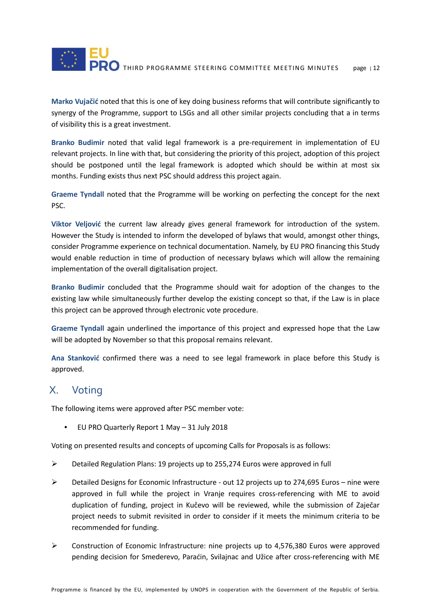

**Marko Vujačić** noted that this is one of key doing business reforms that will contribute significantly to synergy of the Programme, support to LSGs and all other similar projects concluding that a in terms of visibility this is a great investment.

**Branko Budimir** noted that valid legal framework is a pre-requirement in implementation of EU relevant projects. In line with that, but considering the priority of this project, adoption of this project should be postponed until the legal framework is adopted which should be within at most six months. Funding exists thus next PSC should address this project again.

**Graeme Tyndall** noted that the Programme will be working on perfecting the concept for the next PSC.

**Viktor Veljović** the current law already gives general framework for introduction of the system. However the Study is intended to inform the developed of bylaws that would, amongst other things, consider Programme experience on technical documentation. Namely, by EU PRO financing this Study would enable reduction in time of production of necessary bylaws which will allow the remaining implementation of the overall digitalisation project.

**Branko Budimir** concluded that the Programme should wait for adoption of the changes to the existing law while simultaneously further develop the existing concept so that, if the Law is in place this project can be approved through electronic vote procedure.

**Graeme Tyndall** again underlined the importance of this project and expressed hope that the Law will be adopted by November so that this proposal remains relevant.

**Ana Stanković** confirmed there was a need to see legal framework in place before this Study is approved.

#### X. Voting

The following items were approved after PSC member vote:

• EU PRO Quarterly Report 1 May – 31 July 2018

Voting on presented results and concepts of upcoming Calls for Proposals is as follows:

- $\triangleright$  Detailed Regulation Plans: 19 projects up to 255,274 Euros were approved in full
- $\triangleright$  Detailed Designs for Economic Infrastructure out 12 projects up to 274,695 Euros nine were approved in full while the project in Vranje requires cross-referencing with ME to avoid duplication of funding, project in Kučevo will be reviewed, while the submission of Zaječar project needs to submit revisited in order to consider if it meets the minimum criteria to be recommended for funding.
- $\triangleright$  Construction of Economic Infrastructure: nine projects up to 4,576,380 Euros were approved pending decision for Smederevo, Paraćin, Svilajnac and Užice after cross-referencing with ME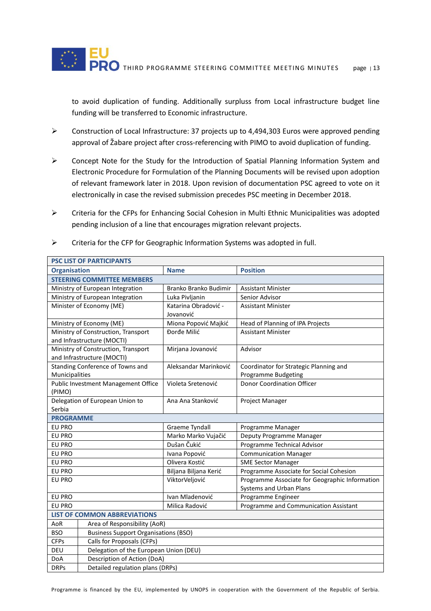to avoid duplication of funding. Additionally surpluss from Local infrastructure budget line funding will be transferred to Economic infrastructure.

- Construction of Local Infrastructure: 37 projects up to 4,494,303 Euros were approved pending approval of Žabare project after cross-referencing with PIMO to avoid duplication of funding.
- Concept Note for the Study for the Introduction of Spatial Planning Information System and Electronic Procedure for Formulation of the Planning Documents will be revised upon adoption of relevant framework later in 2018. Upon revision of documentation PSC agreed to vote on it electronically in case the revised submission precedes PSC meeting in December 2018.
- $\triangleright$  Criteria for the CFPs for Enhancing Social Cohesion in Multi Ethnic Municipalities was adopted pending inclusion of a line that encourages migration relevant projects.
- $\triangleright$  Criteria for the CFP for Geographic Information Systems was adopted in full.

| <b>PSC LIST OF PARTICIPANTS</b>     |                                             |                       |                                                |  |
|-------------------------------------|---------------------------------------------|-----------------------|------------------------------------------------|--|
| <b>Organisation</b>                 |                                             | <b>Name</b>           | <b>Position</b>                                |  |
| <b>STEERING COMMITTEE MEMBERS</b>   |                                             |                       |                                                |  |
| Ministry of European Integration    |                                             | Branko Branko Budimir | <b>Assistant Minister</b>                      |  |
| Ministry of European Integration    |                                             | Luka Pivljanin        | Senior Advisor                                 |  |
| Minister of Economy (ME)            |                                             | Katarina Obradović -  | <b>Assistant Minister</b>                      |  |
|                                     |                                             | Jovanović             |                                                |  |
| Ministry of Economy (ME)            |                                             | Miona Popović Majkić  | Head of Planning of IPA Projects               |  |
| Ministry of Construction, Transport |                                             | Đorđe Milić           | <b>Assistant Minister</b>                      |  |
| and Infrastructure (MOCTI)          |                                             |                       |                                                |  |
| Ministry of Construction, Transport |                                             | Mirjana Jovanović     | Advisor                                        |  |
| and Infrastructure (MOCTI)          |                                             |                       |                                                |  |
| Standing Conference of Towns and    |                                             | Aleksandar Marinković | Coordinator for Strategic Planning and         |  |
| Municipalities                      |                                             |                       | <b>Programme Budgeting</b>                     |  |
| Public Investment Management Office |                                             | Violeta Sretenović    | <b>Donor Coordination Officer</b>              |  |
| (PIMO)                              |                                             |                       |                                                |  |
| Delegation of European Union to     |                                             | Ana Ana Stanković     | Project Manager                                |  |
| Serbia                              |                                             |                       |                                                |  |
| <b>PROGRAMME</b>                    |                                             |                       |                                                |  |
| EU PRO                              |                                             | <b>Graeme Tyndall</b> | Programme Manager                              |  |
| EU PRO                              |                                             | Marko Marko Vujačić   | Deputy Programme Manager                       |  |
| EU PRO                              |                                             | Dušan Čukić           | Programme Technical Advisor                    |  |
| <b>EU PRO</b>                       |                                             | Ivana Popović         | <b>Communication Manager</b>                   |  |
| <b>EU PRO</b>                       |                                             | Olivera Kostić        | <b>SME Sector Manager</b>                      |  |
| <b>EU PRO</b>                       |                                             | Biljana Biljana Kerić | Programme Associate for Social Cohesion        |  |
| EU PRO                              |                                             | ViktorVeljović        | Programme Associate for Geographic Information |  |
|                                     |                                             |                       | Systems and Urban Plans                        |  |
| EU PRO                              |                                             | Ivan Mladenović       | Programme Engineer                             |  |
| EU PRO                              |                                             | Milica Radović        | Programme and Communication Assistant          |  |
| <b>LIST OF COMMON ABBREVIATIONS</b> |                                             |                       |                                                |  |
| AoR                                 | Area of Responsibility (AoR)                |                       |                                                |  |
| <b>BSO</b>                          | <b>Business Support Organisations (BSO)</b> |                       |                                                |  |
| <b>CFPs</b>                         | Calls for Proposals (CFPs)                  |                       |                                                |  |
| DEU                                 | Delegation of the European Union (DEU)      |                       |                                                |  |
| DoA                                 | Description of Action (DoA)                 |                       |                                                |  |
| <b>DRPs</b>                         | Detailed regulation plans (DRPs)            |                       |                                                |  |

Programme is financed by the EU, implemented by UNOPS in cooperation with the Government of the Republic of Serbia.